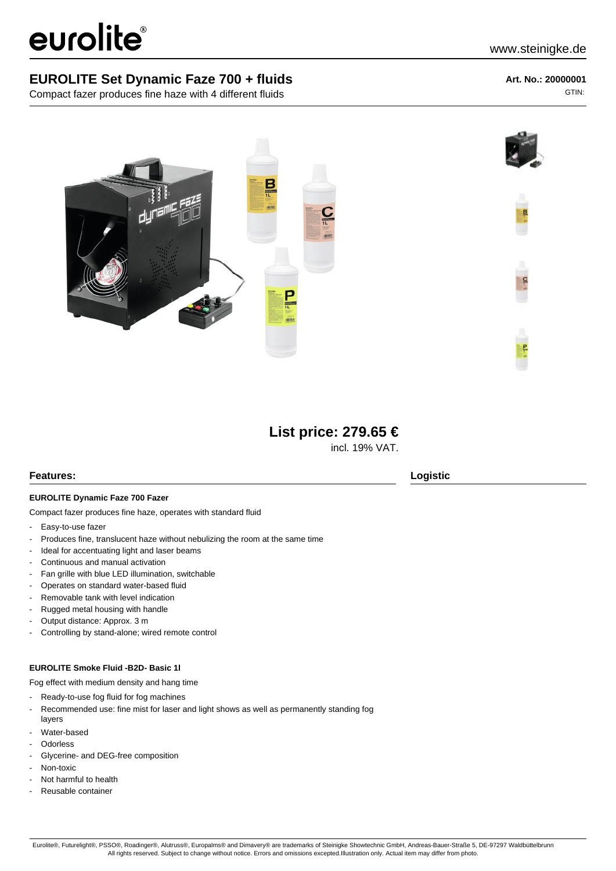# eurolite®

Compact fazer produces fine haze with 4 different fluids

**Art. No.: 20000001** GTIN:



# **List price: 279.65 €**

incl. 19% VAT.

## **Features: Logistic**

#### **EUROLITE Dynamic Faze 700 Fazer**

Compact fazer produces fine haze, operates with standard fluid

- Easy-to-use fazer
- Produces fine, translucent haze without nebulizing the room at the same time
- Ideal for accentuating light and laser beams
- Continuous and manual activation
- Fan grille with blue LED illumination, switchable
- Operates on standard water-based fluid
- Removable tank with level indication
- Rugged metal housing with handle
- Output distance: Approx. 3 m
- Controlling by stand-alone; wired remote control

#### **EUROLITE Smoke Fluid -B2D- Basic 1l**

Fog effect with medium density and hang time

- Ready-to-use fog fluid for fog machines
- Recommended use: fine mist for laser and light shows as well as permanently standing fog layers
- Water-based
- **Odorless**
- Glycerine- and DEG-free composition
- Non-toxic
- Not harmful to health
- Reusable container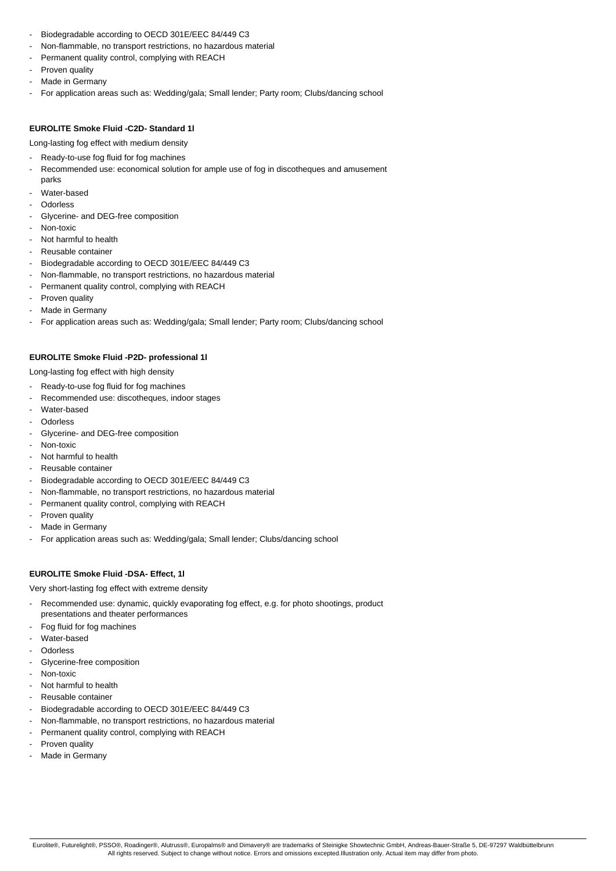- Biodegradable according to OECD 301E/EEC 84/449 C3
- Non-flammable, no transport restrictions, no hazardous material
- Permanent quality control, complying with REACH
- Proven quality
- Made in Germany
- For application areas such as: Wedding/gala; Small lender; Party room; Clubs/dancing school

#### **EUROLITE Smoke Fluid -C2D- Standard 1l**

Long-lasting fog effect with medium density

- Ready-to-use fog fluid for fog machines
- Recommended use: economical solution for ample use of fog in discotheques and amusement
- parks Water-based
- **Odorless**
- Glycerine- and DEG-free composition
- Non-toxic
- Not harmful to health
- Reusable container
- Biodegradable according to OECD 301E/EEC 84/449 C3
- Non-flammable, no transport restrictions, no hazardous material
- Permanent quality control, complying with REACH
- Proven quality
- Made in Germany
- For application areas such as: Wedding/gala; Small lender; Party room; Clubs/dancing school

#### **EUROLITE Smoke Fluid -P2D- professional 1l**

Long-lasting fog effect with high density

- Ready-to-use fog fluid for fog machines
- Recommended use: discotheques, indoor stages
- Water-based
- **Odorless**
- Glycerine- and DEG-free composition
- Non-toxic
- Not harmful to health
- Reusable container
- Biodegradable according to OECD 301E/EEC 84/449 C3
- Non-flammable, no transport restrictions, no hazardous material
- Permanent quality control, complying with REACH
- Proven quality
- Made in Germany
- For application areas such as: Wedding/gala; Small lender; Clubs/dancing school

## **EUROLITE Smoke Fluid -DSA- Effect, 1l**

Very short-lasting fog effect with extreme density

- Recommended use: dynamic, quickly evaporating fog effect, e.g. for photo shootings, product presentations and theater performances
- Fog fluid for fog machines
- Water-based
- **Odorless**
- Glycerine-free composition
- Non-toxic
- Not harmful to health
- Reusable container
- Biodegradable according to OECD 301E/EEC 84/449 C3
- Non-flammable, no transport restrictions, no hazardous material
- Permanent quality control, complying with REACH
- Proven quality
- Made in Germany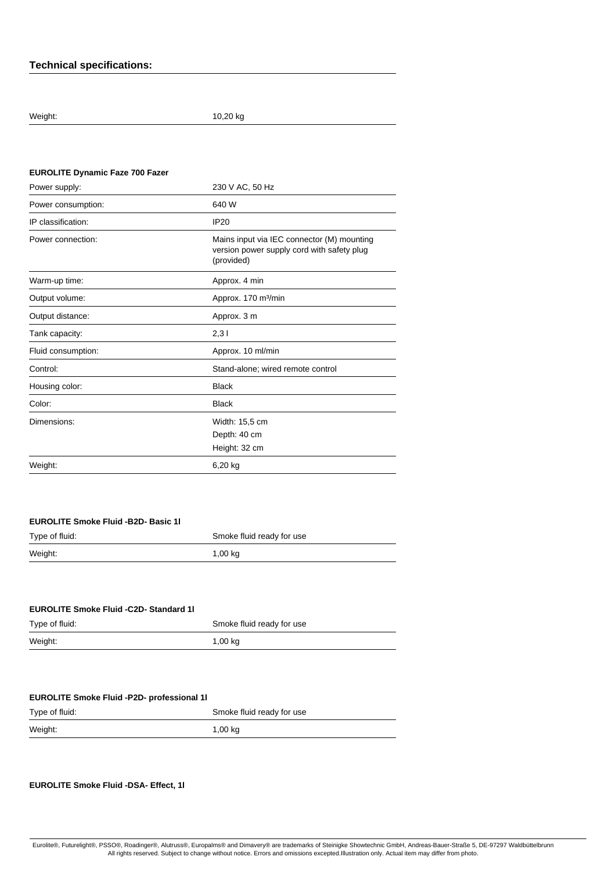# **Technical specifications:**

Weight: 10,20 kg

| <b>EUROLITE Dynamic Faze 700 Fazer</b> |                                                                                                        |
|----------------------------------------|--------------------------------------------------------------------------------------------------------|
| Power supply:                          | 230 V AC, 50 Hz                                                                                        |
| Power consumption:                     | 640 W                                                                                                  |
| IP classification:                     | <b>IP20</b>                                                                                            |
| Power connection:                      | Mains input via IEC connector (M) mounting<br>version power supply cord with safety plug<br>(provided) |
| Warm-up time:                          | Approx. 4 min                                                                                          |
| Output volume:                         | Approx. 170 m <sup>3</sup> /min                                                                        |
| Output distance:                       | Approx. 3 m                                                                                            |
| Tank capacity:                         | 2,31                                                                                                   |
| Fluid consumption:                     | Approx. 10 ml/min                                                                                      |
| Control:                               | Stand-alone; wired remote control                                                                      |
| Housing color:                         | <b>Black</b>                                                                                           |
| Color:                                 | <b>Black</b>                                                                                           |
| Dimensions:                            | Width: 15,5 cm                                                                                         |
|                                        | Depth: 40 cm                                                                                           |
|                                        | Height: 32 cm                                                                                          |
| Weight:                                | 6,20 kg                                                                                                |
|                                        |                                                                                                        |

| <b>EUROLITE Smoke Fluid -B2D- Basic 11</b> |  |
|--------------------------------------------|--|
|--------------------------------------------|--|

| Type of fluid: | Smoke fluid ready for use |
|----------------|---------------------------|
| Weight:        | $1,00$ kg                 |
|                |                           |

| <b>EUROLITE Smoke Fluid -C2D- Standard 11</b> |
|-----------------------------------------------|
|-----------------------------------------------|

| Type of fluid: | Smoke fluid ready for use |
|----------------|---------------------------|
| Weight:        | 1,00 kg                   |

# **EUROLITE Smoke Fluid -P2D- professional 1l**

| Type of fluid: | Smoke fluid ready for use |
|----------------|---------------------------|
| Weight:        | 1,00 kg                   |

#### **EUROLITE Smoke Fluid -DSA- Effect, 1l**